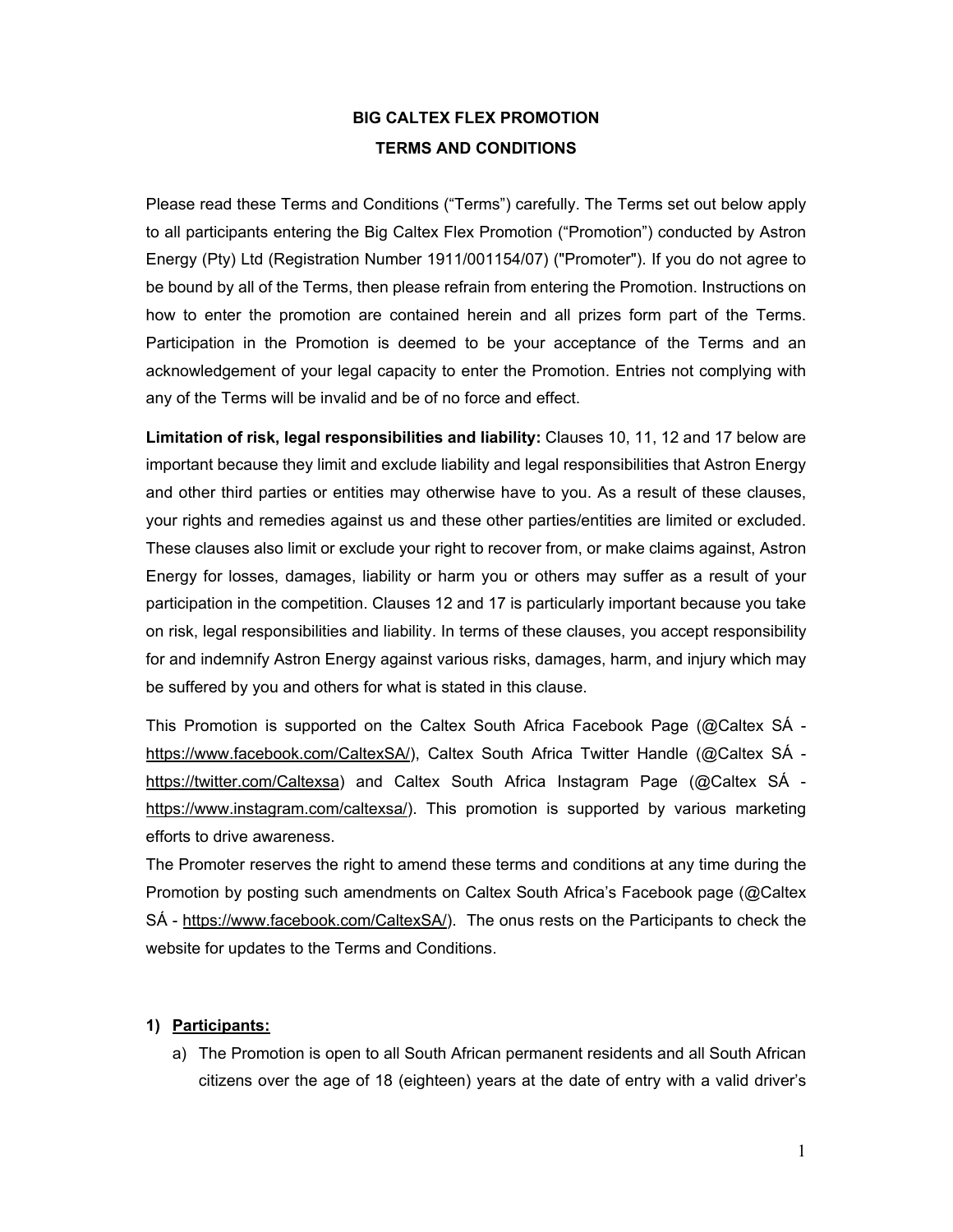# **BIG CALTEX FLEX PROMOTION TERMS AND CONDITIONS**

Please read these Terms and Conditions ("Terms") carefully. The Terms set out below apply to all participants entering the Big Caltex Flex Promotion ("Promotion") conducted by Astron Energy (Pty) Ltd (Registration Number 1911/001154/07) ("Promoter"). If you do not agree to be bound by all of the Terms, then please refrain from entering the Promotion. Instructions on how to enter the promotion are contained herein and all prizes form part of the Terms. Participation in the Promotion is deemed to be your acceptance of the Terms and an acknowledgement of your legal capacity to enter the Promotion. Entries not complying with any of the Terms will be invalid and be of no force and effect.

**Limitation of risk, legal responsibilities and liability:** Clauses 10, 11, 12 and 17 below are important because they limit and exclude liability and legal responsibilities that Astron Energy and other third parties or entities may otherwise have to you. As a result of these clauses, your rights and remedies against us and these other parties/entities are limited or excluded. These clauses also limit or exclude your right to recover from, or make claims against, Astron Energy for losses, damages, liability or harm you or others may suffer as a result of your participation in the competition. Clauses 12 and 17 is particularly important because you take on risk, legal responsibilities and liability. In terms of these clauses, you accept responsibility for and indemnify Astron Energy against various risks, damages, harm, and injury which may be suffered by you and others for what is stated in this clause.

This Promotion is supported on the Caltex South Africa Facebook Page (@Caltex SÁ https://www.facebook.com/CaltexSA/), Caltex South Africa Twitter Handle (@Caltex SÁ https://twitter.com/Caltexsa) and Caltex South Africa Instagram Page (@Caltex SÁ https://www.instagram.com/caltexsa/). This promotion is supported by various marketing efforts to drive awareness.

The Promoter reserves the right to amend these terms and conditions at any time during the Promotion by posting such amendments on Caltex South Africa's Facebook page (@Caltex SÁ - https://www.facebook.com/CaltexSA/). The onus rests on the Participants to check the website for updates to the Terms and Conditions.

#### **1) Participants:**

a) The Promotion is open to all South African permanent residents and all South African citizens over the age of 18 (eighteen) years at the date of entry with a valid driver's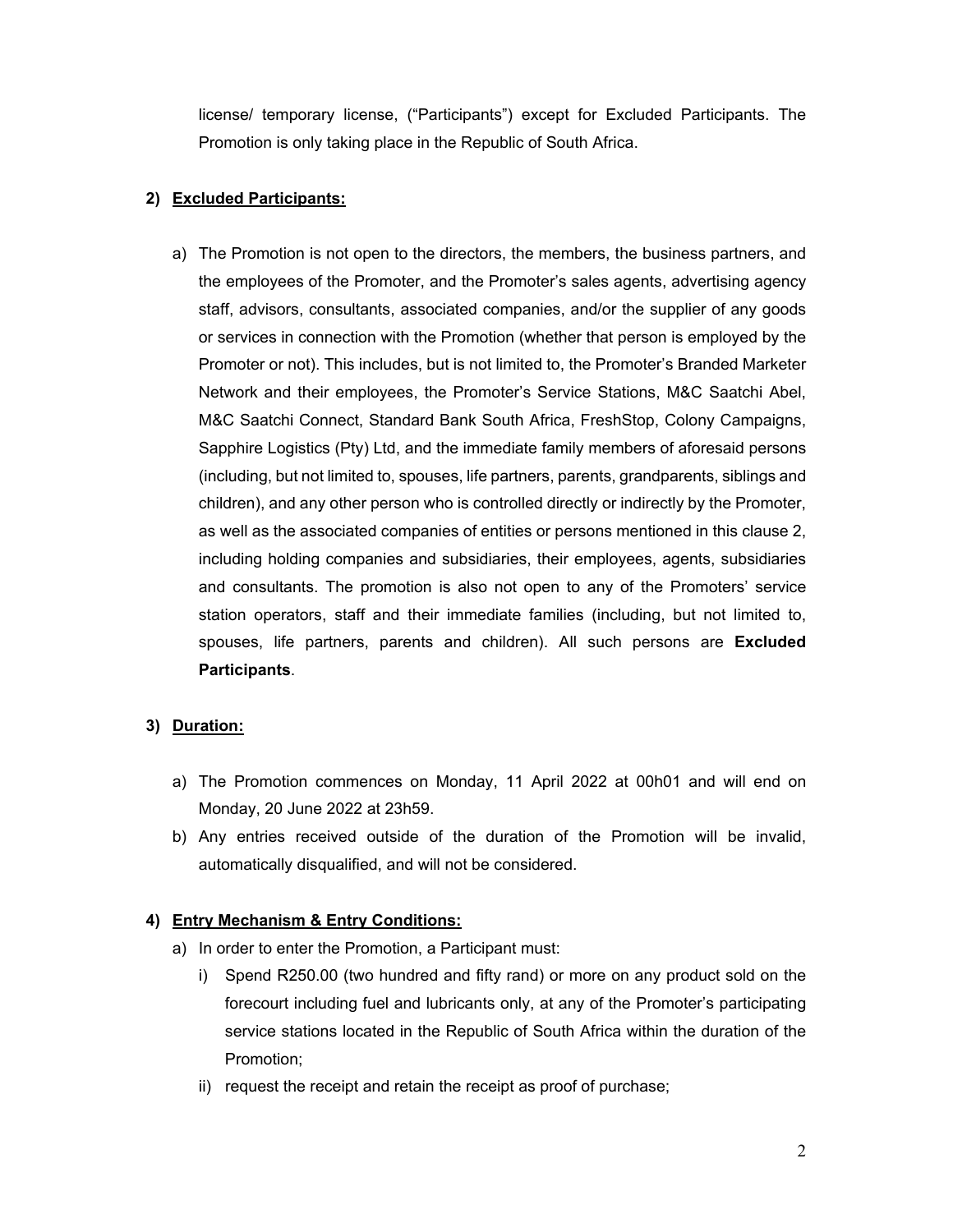license/ temporary license, ("Participants") except for Excluded Participants. The Promotion is only taking place in the Republic of South Africa.

## **2) Excluded Participants:**

a) The Promotion is not open to the directors, the members, the business partners, and the employees of the Promoter, and the Promoter's sales agents, advertising agency staff, advisors, consultants, associated companies, and/or the supplier of any goods or services in connection with the Promotion (whether that person is employed by the Promoter or not). This includes, but is not limited to, the Promoter's Branded Marketer Network and their employees, the Promoter's Service Stations, M&C Saatchi Abel, M&C Saatchi Connect, Standard Bank South Africa, FreshStop, Colony Campaigns, Sapphire Logistics (Pty) Ltd, and the immediate family members of aforesaid persons (including, but not limited to, spouses, life partners, parents, grandparents, siblings and children), and any other person who is controlled directly or indirectly by the Promoter, as well as the associated companies of entities or persons mentioned in this clause 2, including holding companies and subsidiaries, their employees, agents, subsidiaries and consultants. The promotion is also not open to any of the Promoters' service station operators, staff and their immediate families (including, but not limited to, spouses, life partners, parents and children). All such persons are **Excluded Participants**.

### **3) Duration:**

- a) The Promotion commences on Monday, 11 April 2022 at 00h01 and will end on Monday, 20 June 2022 at 23h59.
- b) Any entries received outside of the duration of the Promotion will be invalid, automatically disqualified, and will not be considered.

### **4) Entry Mechanism & Entry Conditions:**

- a) In order to enter the Promotion, a Participant must:
	- i) Spend R250.00 (two hundred and fifty rand) or more on any product sold on the forecourt including fuel and lubricants only, at any of the Promoter's participating service stations located in the Republic of South Africa within the duration of the Promotion;
	- ii) request the receipt and retain the receipt as proof of purchase;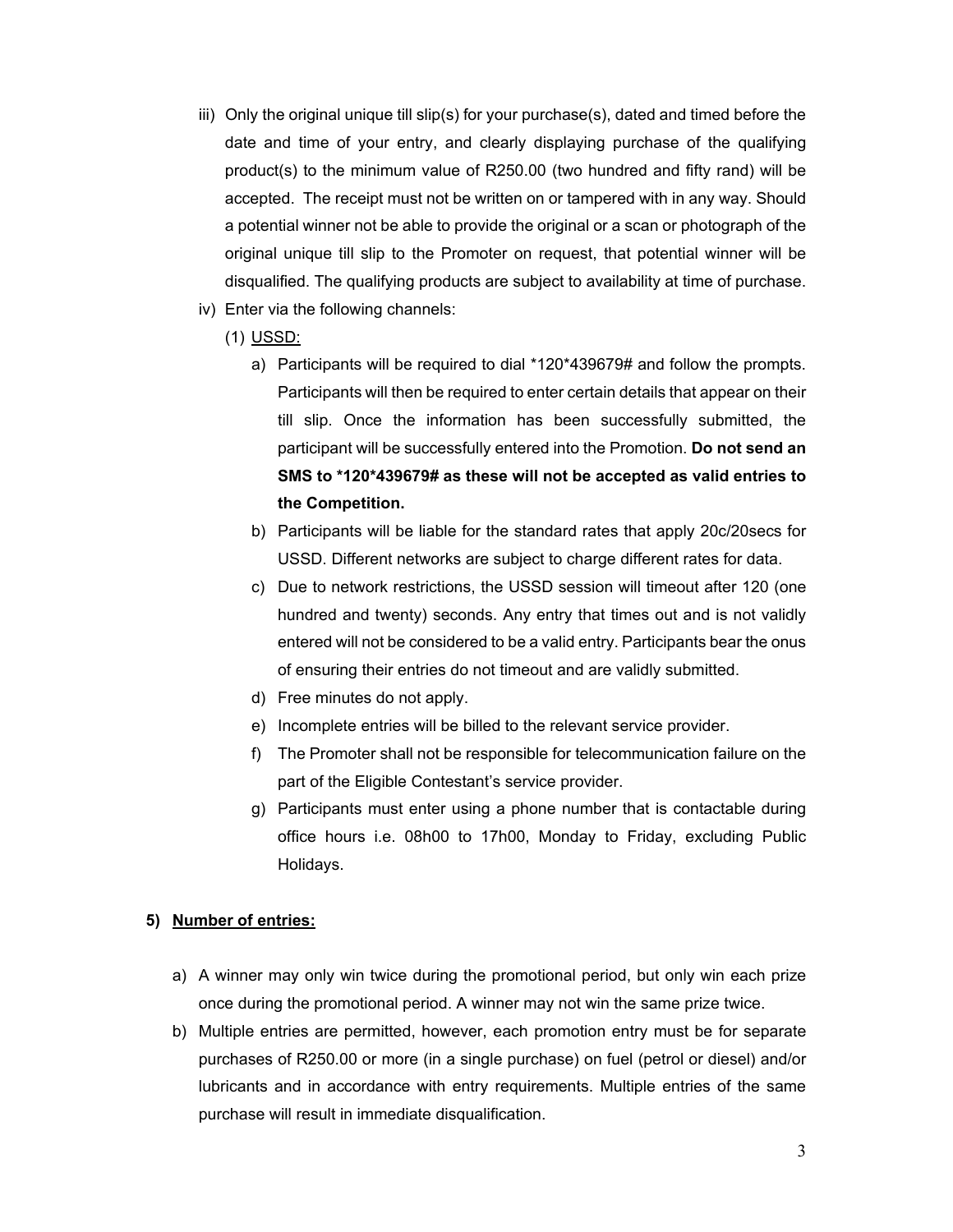- iii) Only the original unique till slip(s) for your purchase(s), dated and timed before the date and time of your entry, and clearly displaying purchase of the qualifying product(s) to the minimum value of R250.00 (two hundred and fifty rand) will be accepted. The receipt must not be written on or tampered with in any way. Should a potential winner not be able to provide the original or a scan or photograph of the original unique till slip to the Promoter on request, that potential winner will be disqualified. The qualifying products are subject to availability at time of purchase.
- iv) Enter via the following channels:
	- (1) USSD:
		- a) Participants will be required to dial \*120\*439679# and follow the prompts. Participants will then be required to enter certain details that appear on their till slip. Once the information has been successfully submitted, the participant will be successfully entered into the Promotion. **Do not send an SMS to \*120\*439679# as these will not be accepted as valid entries to the Competition.**
		- b) Participants will be liable for the standard rates that apply 20c/20secs for USSD. Different networks are subject to charge different rates for data.
		- c) Due to network restrictions, the USSD session will timeout after 120 (one hundred and twenty) seconds. Any entry that times out and is not validly entered will not be considered to be a valid entry. Participants bear the onus of ensuring their entries do not timeout and are validly submitted.
		- d) Free minutes do not apply.
		- e) Incomplete entries will be billed to the relevant service provider.
		- f) The Promoter shall not be responsible for telecommunication failure on the part of the Eligible Contestant's service provider.
		- g) Participants must enter using a phone number that is contactable during office hours i.e. 08h00 to 17h00, Monday to Friday, excluding Public Holidays.

#### **5) Number of entries:**

- a) A winner may only win twice during the promotional period, but only win each prize once during the promotional period. A winner may not win the same prize twice.
- b) Multiple entries are permitted, however, each promotion entry must be for separate purchases of R250.00 or more (in a single purchase) on fuel (petrol or diesel) and/or lubricants and in accordance with entry requirements. Multiple entries of the same purchase will result in immediate disqualification.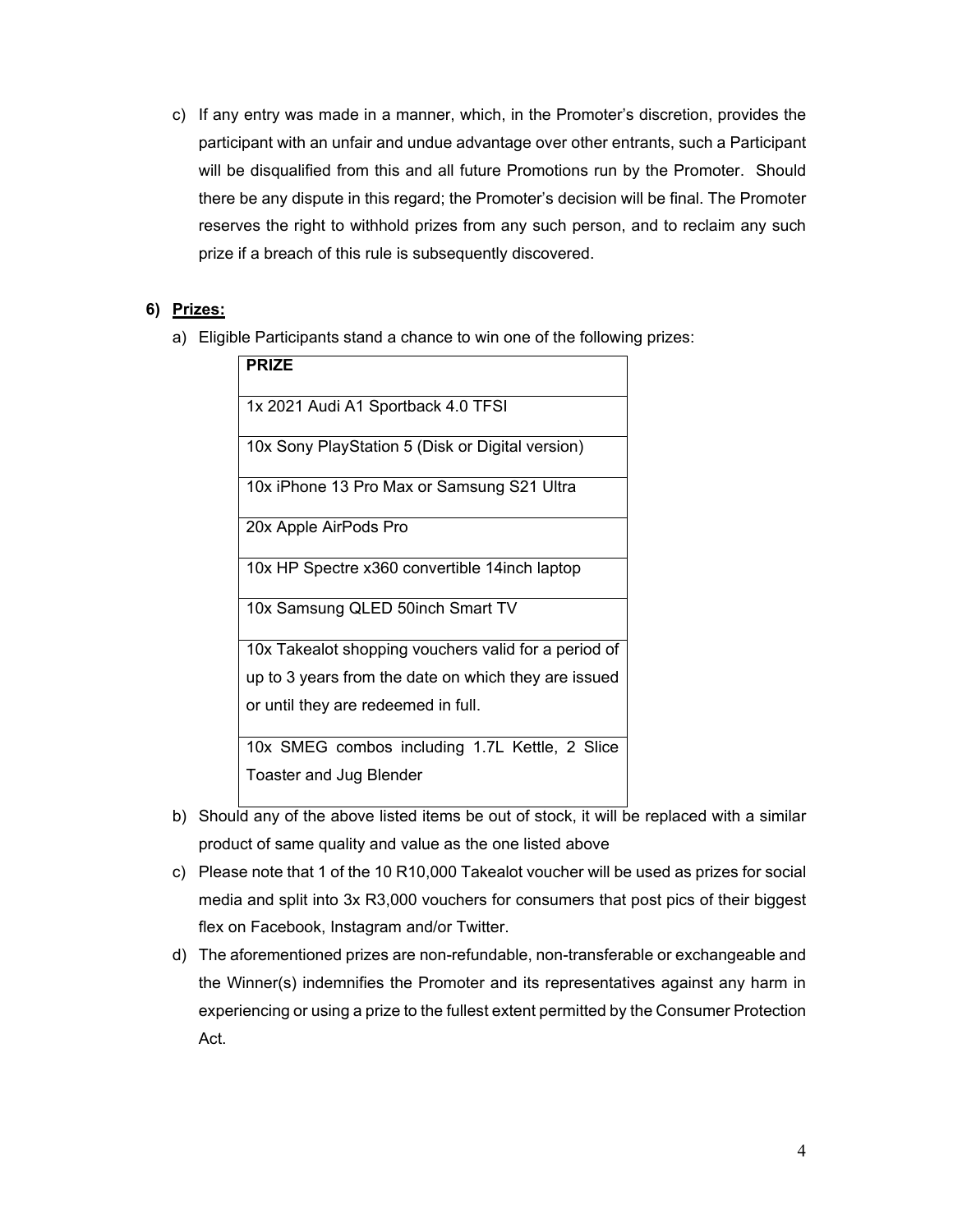c) If any entry was made in a manner, which, in the Promoter's discretion, provides the participant with an unfair and undue advantage over other entrants, such a Participant will be disqualified from this and all future Promotions run by the Promoter. Should there be any dispute in this regard; the Promoter's decision will be final. The Promoter reserves the right to withhold prizes from any such person, and to reclaim any such prize if a breach of this rule is subsequently discovered.

### **6) Prizes:**

a) Eligible Participants stand a chance to win one of the following prizes:

| <b>PRIZE</b>                                         |
|------------------------------------------------------|
| 1x 2021 Audi A1 Sportback 4.0 TFSI                   |
| 10x Sony PlayStation 5 (Disk or Digital version)     |
| 10x iPhone 13 Pro Max or Samsung S21 Ultra           |
| 20x Apple AirPods Pro                                |
| 10x HP Spectre x360 convertible 14inch laptop        |
| 10x Samsung QLED 50inch Smart TV                     |
| 10x Takealot shopping vouchers valid for a period of |
| up to 3 years from the date on which they are issued |
| or until they are redeemed in full.                  |
| 10x SMEG combos including 1.7L Kettle, 2 Slice       |
| Toaster and Jug Blender                              |

- b) Should any of the above listed items be out of stock, it will be replaced with a similar product of same quality and value as the one listed above
- c) Please note that 1 of the 10 R10,000 Takealot voucher will be used as prizes for social media and split into 3x R3,000 vouchers for consumers that post pics of their biggest flex on Facebook, Instagram and/or Twitter.
- d) The aforementioned prizes are non-refundable, non-transferable or exchangeable and the Winner(s) indemnifies the Promoter and its representatives against any harm in experiencing or using a prize to the fullest extent permitted by the Consumer Protection Act.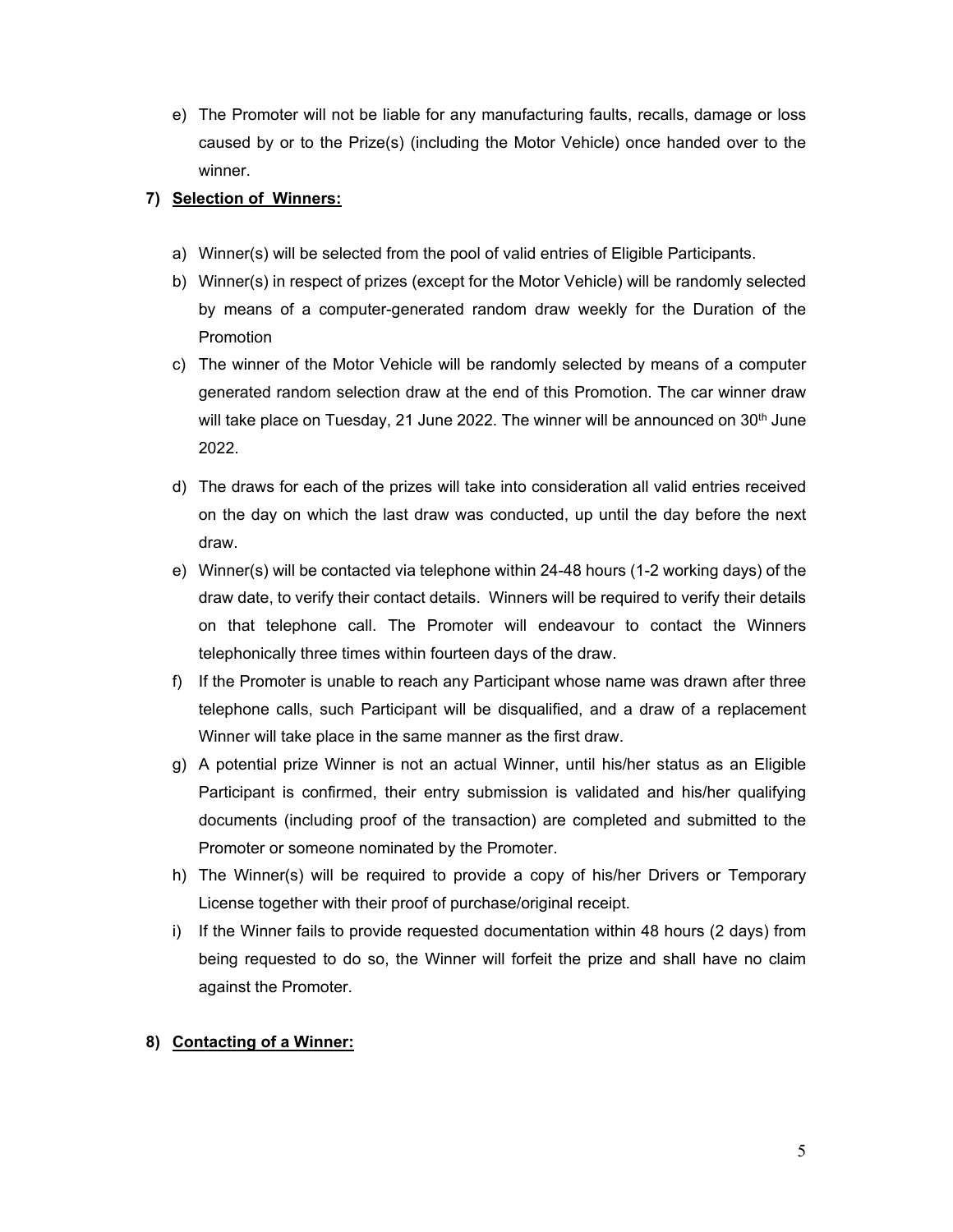e) The Promoter will not be liable for any manufacturing faults, recalls, damage or loss caused by or to the Prize(s) (including the Motor Vehicle) once handed over to the winner.

### **7) Selection of Winners:**

- a) Winner(s) will be selected from the pool of valid entries of Eligible Participants.
- b) Winner(s) in respect of prizes (except for the Motor Vehicle) will be randomly selected by means of a computer-generated random draw weekly for the Duration of the Promotion
- c) The winner of the Motor Vehicle will be randomly selected by means of a computer generated random selection draw at the end of this Promotion. The car winner draw will take place on Tuesday, 21 June 2022. The winner will be announced on  $30<sup>th</sup>$  June 2022.
- d) The draws for each of the prizes will take into consideration all valid entries received on the day on which the last draw was conducted, up until the day before the next draw.
- e) Winner(s) will be contacted via telephone within 24-48 hours (1-2 working days) of the draw date, to verify their contact details. Winners will be required to verify their details on that telephone call. The Promoter will endeavour to contact the Winners telephonically three times within fourteen days of the draw.
- f) If the Promoter is unable to reach any Participant whose name was drawn after three telephone calls, such Participant will be disqualified, and a draw of a replacement Winner will take place in the same manner as the first draw.
- g) A potential prize Winner is not an actual Winner, until his/her status as an Eligible Participant is confirmed, their entry submission is validated and his/her qualifying documents (including proof of the transaction) are completed and submitted to the Promoter or someone nominated by the Promoter.
- h) The Winner(s) will be required to provide a copy of his/her Drivers or Temporary License together with their proof of purchase/original receipt.
- i) If the Winner fails to provide requested documentation within 48 hours (2 days) from being requested to do so, the Winner will forfeit the prize and shall have no claim against the Promoter.

#### **8) Contacting of a Winner:**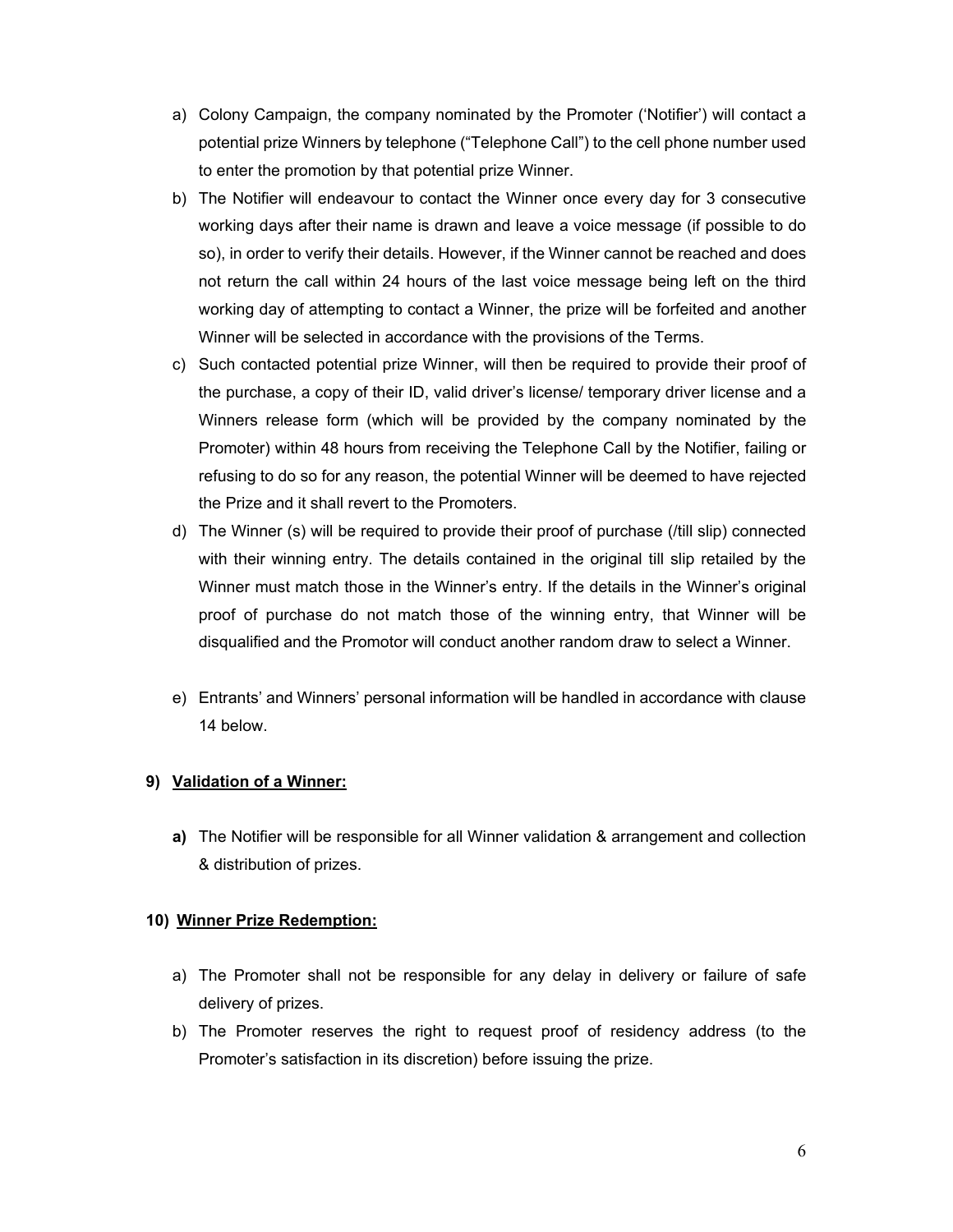- a) Colony Campaign, the company nominated by the Promoter ('Notifier') will contact a potential prize Winners by telephone ("Telephone Call") to the cell phone number used to enter the promotion by that potential prize Winner.
- b) The Notifier will endeavour to contact the Winner once every day for 3 consecutive working days after their name is drawn and leave a voice message (if possible to do so), in order to verify their details. However, if the Winner cannot be reached and does not return the call within 24 hours of the last voice message being left on the third working day of attempting to contact a Winner, the prize will be forfeited and another Winner will be selected in accordance with the provisions of the Terms.
- c) Such contacted potential prize Winner, will then be required to provide their proof of the purchase, a copy of their ID, valid driver's license/ temporary driver license and a Winners release form (which will be provided by the company nominated by the Promoter) within 48 hours from receiving the Telephone Call by the Notifier, failing or refusing to do so for any reason, the potential Winner will be deemed to have rejected the Prize and it shall revert to the Promoters.
- d) The Winner (s) will be required to provide their proof of purchase (/till slip) connected with their winning entry. The details contained in the original till slip retailed by the Winner must match those in the Winner's entry. If the details in the Winner's original proof of purchase do not match those of the winning entry, that Winner will be disqualified and the Promotor will conduct another random draw to select a Winner.
- e) Entrants' and Winners' personal information will be handled in accordance with clause 14 below.

### **9) Validation of a Winner:**

**a)** The Notifier will be responsible for all Winner validation & arrangement and collection & distribution of prizes.

#### **10) Winner Prize Redemption:**

- a) The Promoter shall not be responsible for any delay in delivery or failure of safe delivery of prizes.
- b) The Promoter reserves the right to request proof of residency address (to the Promoter's satisfaction in its discretion) before issuing the prize.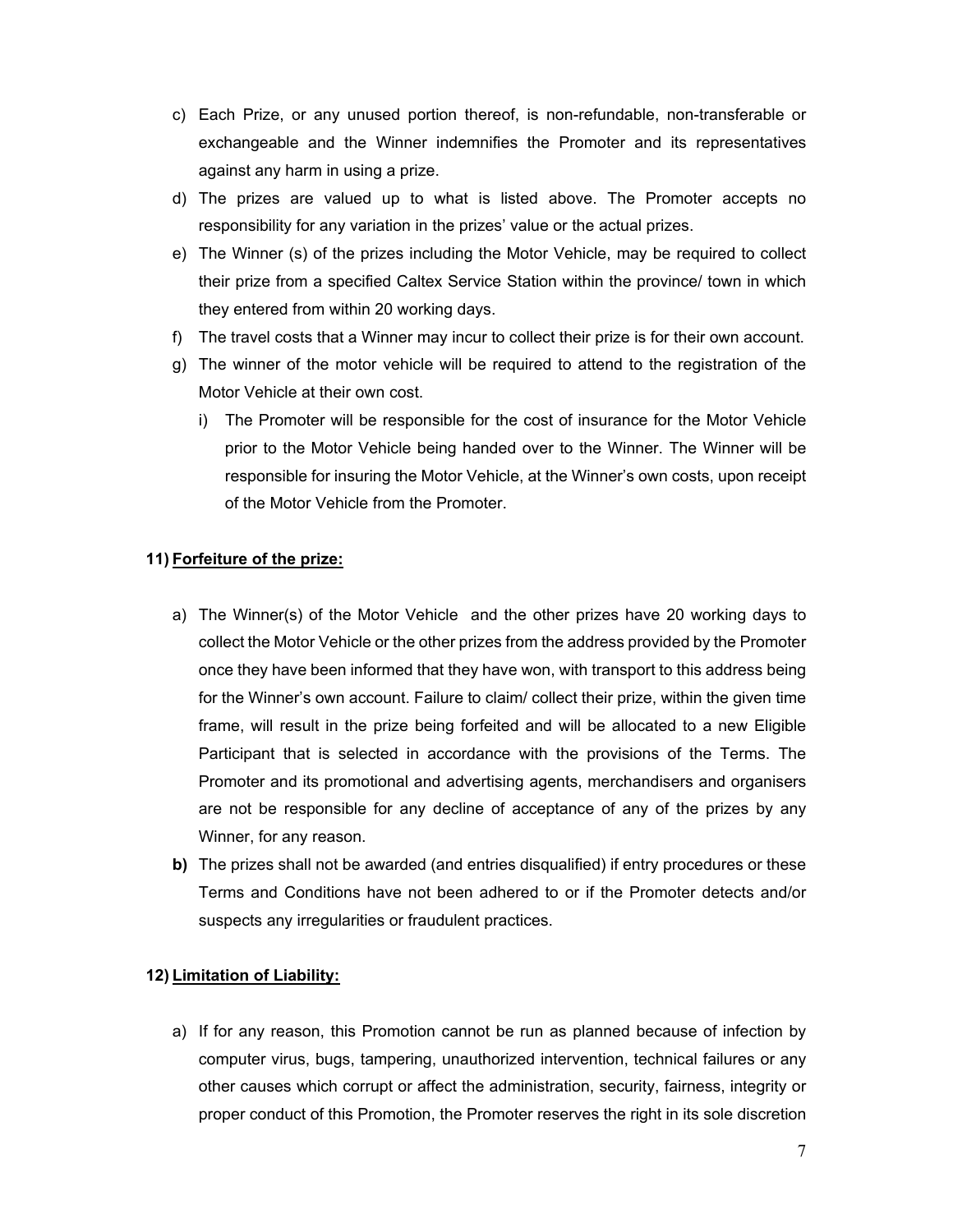- c) Each Prize, or any unused portion thereof, is non-refundable, non-transferable or exchangeable and the Winner indemnifies the Promoter and its representatives against any harm in using a prize.
- d) The prizes are valued up to what is listed above. The Promoter accepts no responsibility for any variation in the prizes' value or the actual prizes.
- e) The Winner (s) of the prizes including the Motor Vehicle, may be required to collect their prize from a specified Caltex Service Station within the province/ town in which they entered from within 20 working days.
- f) The travel costs that a Winner may incur to collect their prize is for their own account.
- g) The winner of the motor vehicle will be required to attend to the registration of the Motor Vehicle at their own cost.
	- i) The Promoter will be responsible for the cost of insurance for the Motor Vehicle prior to the Motor Vehicle being handed over to the Winner. The Winner will be responsible for insuring the Motor Vehicle, at the Winner's own costs, upon receipt of the Motor Vehicle from the Promoter.

### **11) Forfeiture of the prize:**

- a) The Winner(s) of the Motor Vehicle and the other prizes have 20 working days to collect the Motor Vehicle or the other prizes from the address provided by the Promoter once they have been informed that they have won, with transport to this address being for the Winner's own account. Failure to claim/ collect their prize, within the given time frame, will result in the prize being forfeited and will be allocated to a new Eligible Participant that is selected in accordance with the provisions of the Terms. The Promoter and its promotional and advertising agents, merchandisers and organisers are not be responsible for any decline of acceptance of any of the prizes by any Winner, for any reason.
- **b)** The prizes shall not be awarded (and entries disqualified) if entry procedures or these Terms and Conditions have not been adhered to or if the Promoter detects and/or suspects any irregularities or fraudulent practices.

### **12) Limitation of Liability:**

a) If for any reason, this Promotion cannot be run as planned because of infection by computer virus, bugs, tampering, unauthorized intervention, technical failures or any other causes which corrupt or affect the administration, security, fairness, integrity or proper conduct of this Promotion, the Promoter reserves the right in its sole discretion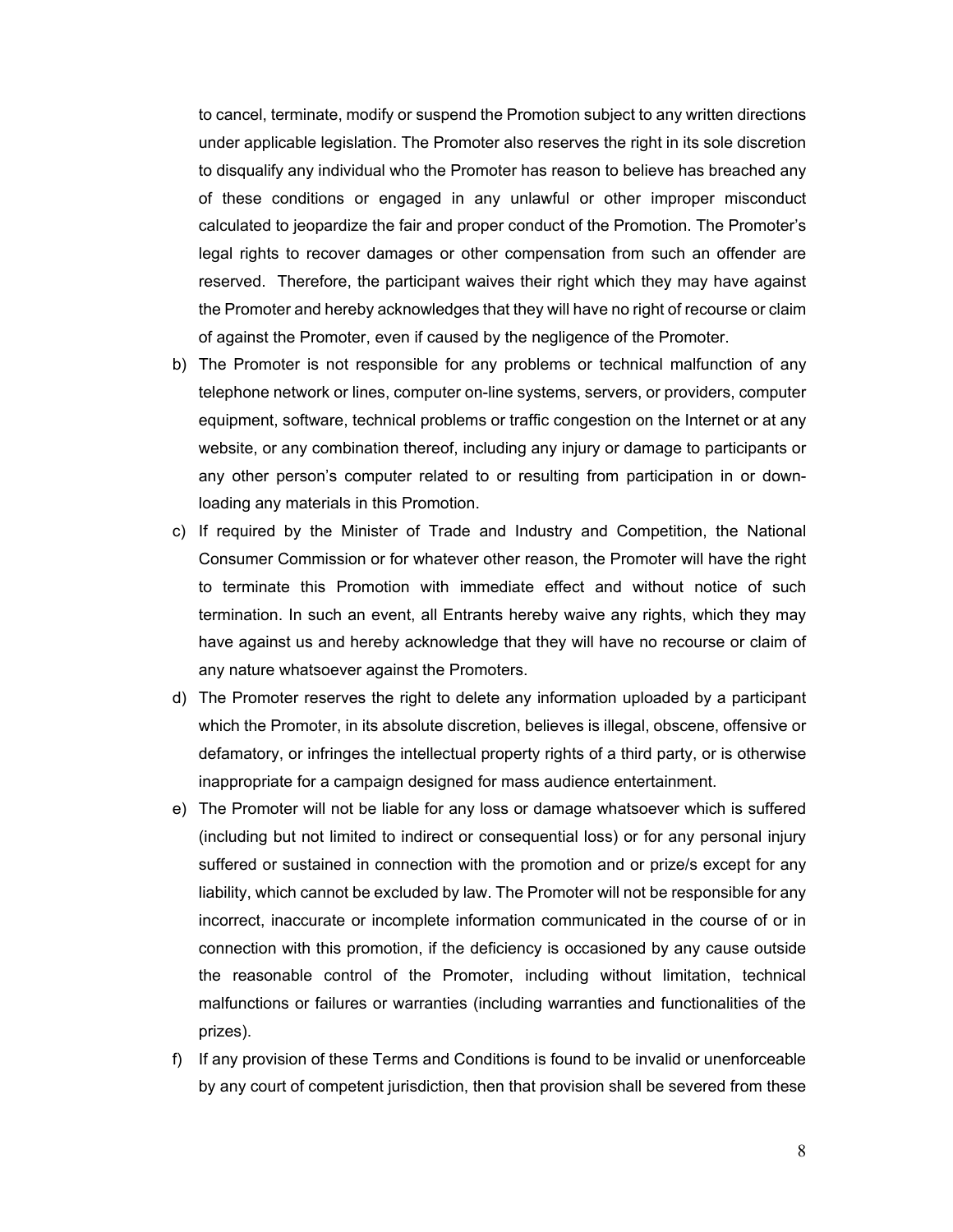to cancel, terminate, modify or suspend the Promotion subject to any written directions under applicable legislation. The Promoter also reserves the right in its sole discretion to disqualify any individual who the Promoter has reason to believe has breached any of these conditions or engaged in any unlawful or other improper misconduct calculated to jeopardize the fair and proper conduct of the Promotion. The Promoter's legal rights to recover damages or other compensation from such an offender are reserved. Therefore, the participant waives their right which they may have against the Promoter and hereby acknowledges that they will have no right of recourse or claim of against the Promoter, even if caused by the negligence of the Promoter.

- b) The Promoter is not responsible for any problems or technical malfunction of any telephone network or lines, computer on-line systems, servers, or providers, computer equipment, software, technical problems or traffic congestion on the Internet or at any website, or any combination thereof, including any injury or damage to participants or any other person's computer related to or resulting from participation in or downloading any materials in this Promotion.
- c) If required by the Minister of Trade and Industry and Competition, the National Consumer Commission or for whatever other reason, the Promoter will have the right to terminate this Promotion with immediate effect and without notice of such termination. In such an event, all Entrants hereby waive any rights, which they may have against us and hereby acknowledge that they will have no recourse or claim of any nature whatsoever against the Promoters.
- d) The Promoter reserves the right to delete any information uploaded by a participant which the Promoter, in its absolute discretion, believes is illegal, obscene, offensive or defamatory, or infringes the intellectual property rights of a third party, or is otherwise inappropriate for a campaign designed for mass audience entertainment.
- e) The Promoter will not be liable for any loss or damage whatsoever which is suffered (including but not limited to indirect or consequential loss) or for any personal injury suffered or sustained in connection with the promotion and or prize/s except for any liability, which cannot be excluded by law. The Promoter will not be responsible for any incorrect, inaccurate or incomplete information communicated in the course of or in connection with this promotion, if the deficiency is occasioned by any cause outside the reasonable control of the Promoter, including without limitation, technical malfunctions or failures or warranties (including warranties and functionalities of the prizes).
- f) If any provision of these Terms and Conditions is found to be invalid or unenforceable by any court of competent jurisdiction, then that provision shall be severed from these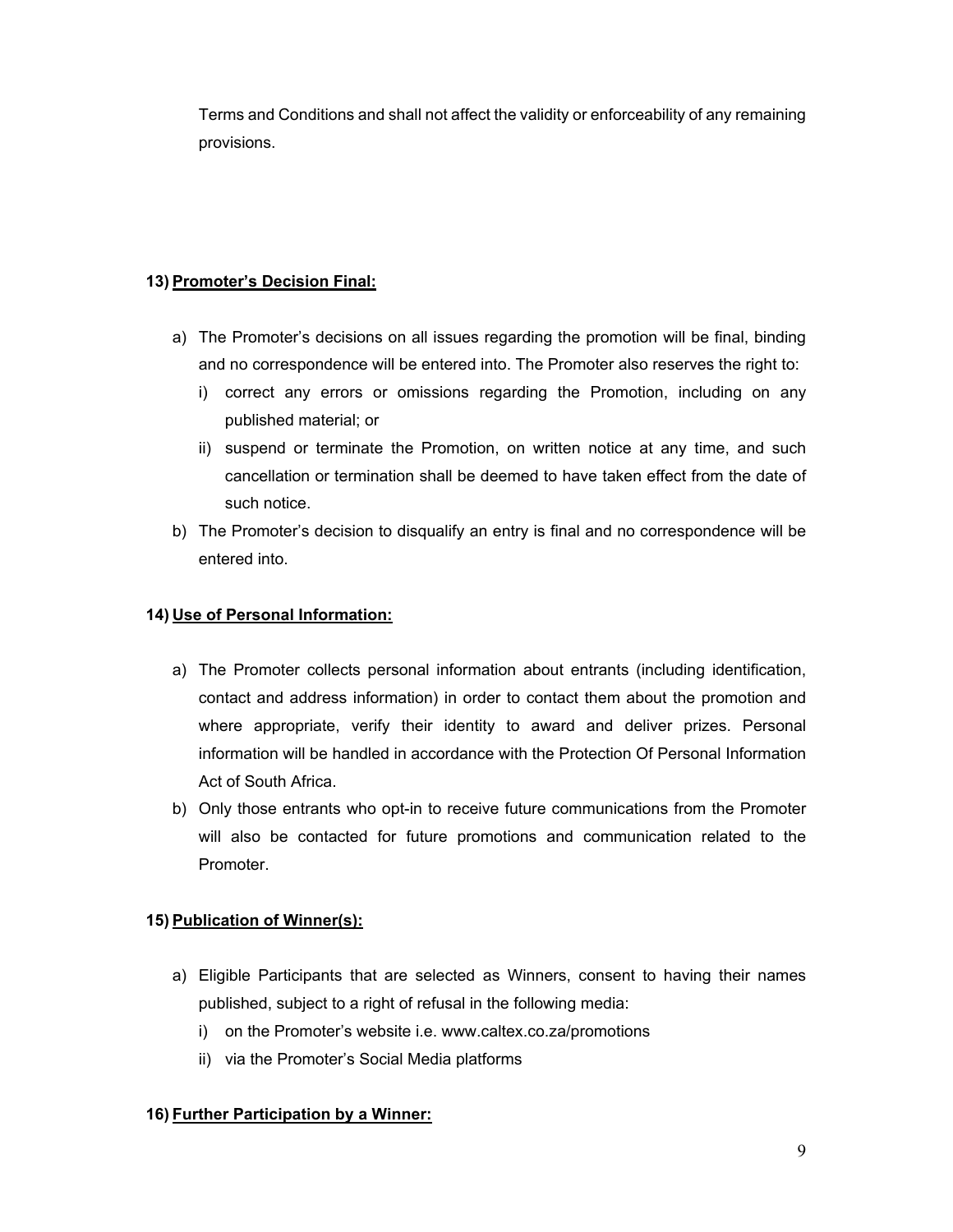Terms and Conditions and shall not affect the validity or enforceability of any remaining provisions.

# **13) Promoter's Decision Final:**

- a) The Promoter's decisions on all issues regarding the promotion will be final, binding and no correspondence will be entered into. The Promoter also reserves the right to:
	- i) correct any errors or omissions regarding the Promotion, including on any published material; or
	- ii) suspend or terminate the Promotion, on written notice at any time, and such cancellation or termination shall be deemed to have taken effect from the date of such notice.
- b) The Promoter's decision to disqualify an entry is final and no correspondence will be entered into.

## **14) Use of Personal Information:**

- a) The Promoter collects personal information about entrants (including identification, contact and address information) in order to contact them about the promotion and where appropriate, verify their identity to award and deliver prizes. Personal information will be handled in accordance with the Protection Of Personal Information Act of South Africa.
- b) Only those entrants who opt-in to receive future communications from the Promoter will also be contacted for future promotions and communication related to the Promoter.

### **15) Publication of Winner(s):**

- a) Eligible Participants that are selected as Winners, consent to having their names published, subject to a right of refusal in the following media:
	- i) on the Promoter's website i.e. www.caltex.co.za/promotions
	- ii) via the Promoter's Social Media platforms

### **16) Further Participation by a Winner:**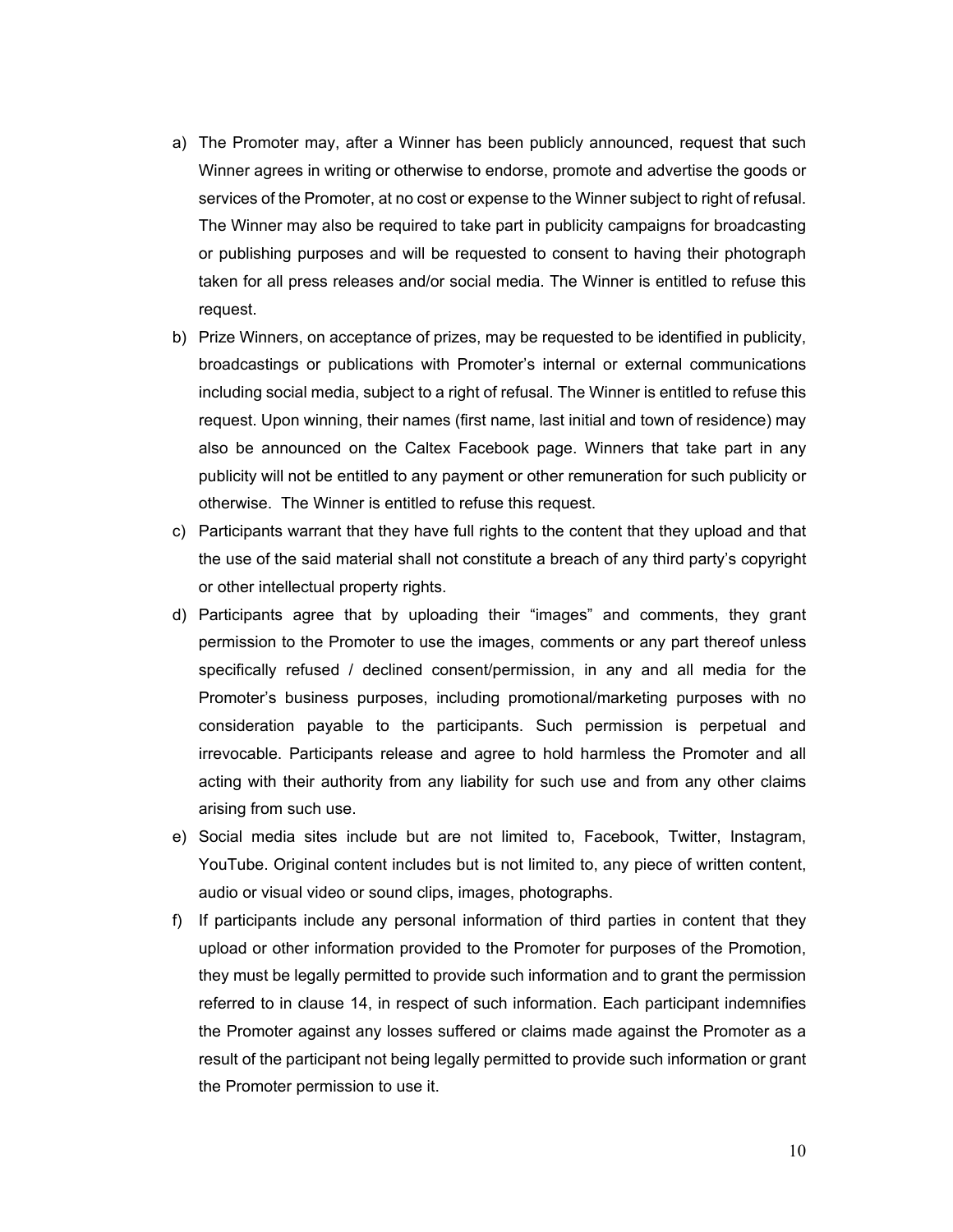- a) The Promoter may, after a Winner has been publicly announced, request that such Winner agrees in writing or otherwise to endorse, promote and advertise the goods or services of the Promoter, at no cost or expense to the Winner subject to right of refusal. The Winner may also be required to take part in publicity campaigns for broadcasting or publishing purposes and will be requested to consent to having their photograph taken for all press releases and/or social media. The Winner is entitled to refuse this request.
- b) Prize Winners, on acceptance of prizes, may be requested to be identified in publicity, broadcastings or publications with Promoter's internal or external communications including social media, subject to a right of refusal. The Winner is entitled to refuse this request. Upon winning, their names (first name, last initial and town of residence) may also be announced on the Caltex Facebook page. Winners that take part in any publicity will not be entitled to any payment or other remuneration for such publicity or otherwise. The Winner is entitled to refuse this request.
- c) Participants warrant that they have full rights to the content that they upload and that the use of the said material shall not constitute a breach of any third party's copyright or other intellectual property rights.
- d) Participants agree that by uploading their "images" and comments, they grant permission to the Promoter to use the images, comments or any part thereof unless specifically refused / declined consent/permission, in any and all media for the Promoter's business purposes, including promotional/marketing purposes with no consideration payable to the participants. Such permission is perpetual and irrevocable. Participants release and agree to hold harmless the Promoter and all acting with their authority from any liability for such use and from any other claims arising from such use.
- e) Social media sites include but are not limited to, Facebook, Twitter, Instagram, YouTube. Original content includes but is not limited to, any piece of written content, audio or visual video or sound clips, images, photographs.
- f) If participants include any personal information of third parties in content that they upload or other information provided to the Promoter for purposes of the Promotion, they must be legally permitted to provide such information and to grant the permission referred to in clause 14, in respect of such information. Each participant indemnifies the Promoter against any losses suffered or claims made against the Promoter as a result of the participant not being legally permitted to provide such information or grant the Promoter permission to use it.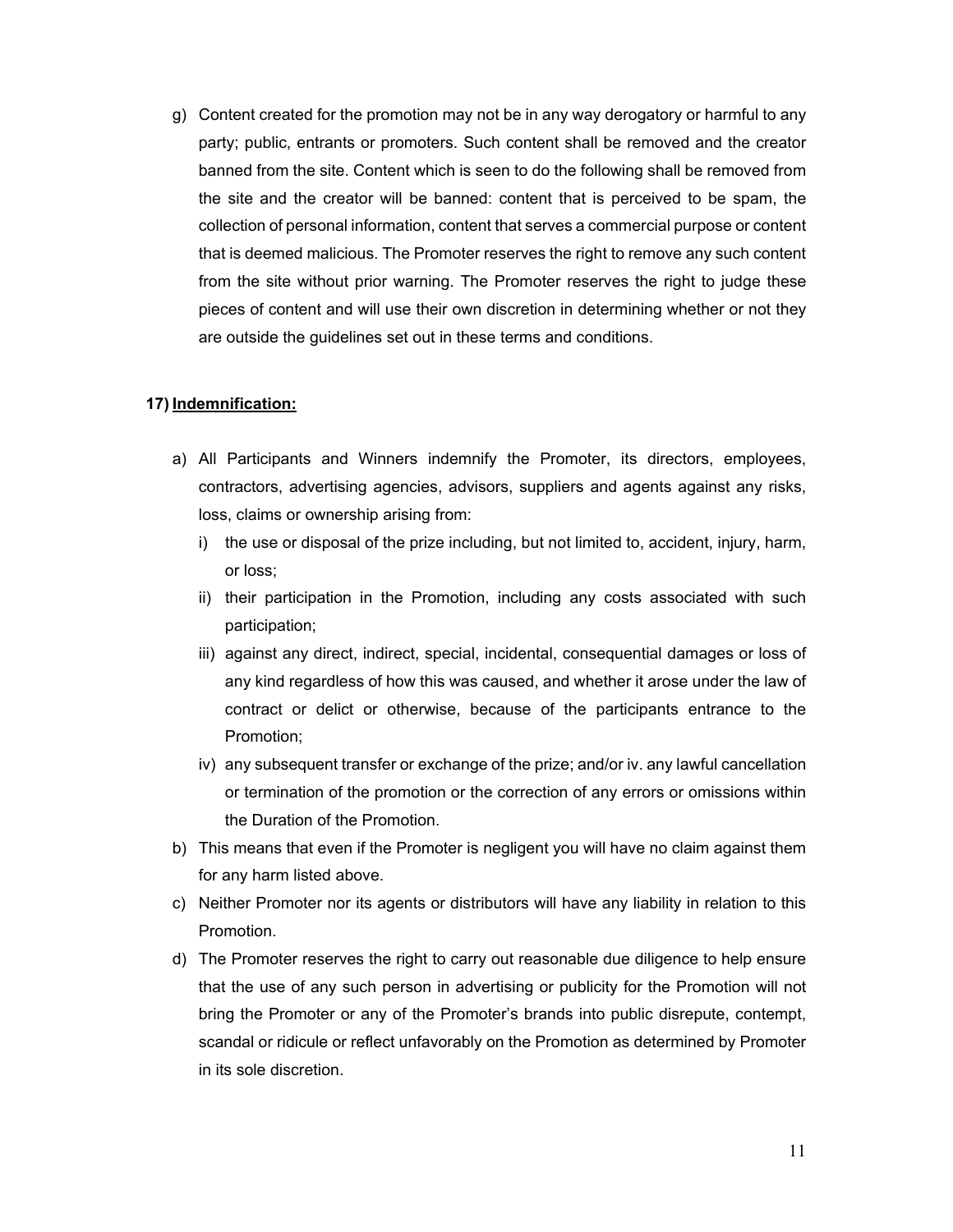g) Content created for the promotion may not be in any way derogatory or harmful to any party; public, entrants or promoters. Such content shall be removed and the creator banned from the site. Content which is seen to do the following shall be removed from the site and the creator will be banned: content that is perceived to be spam, the collection of personal information, content that serves a commercial purpose or content that is deemed malicious. The Promoter reserves the right to remove any such content from the site without prior warning. The Promoter reserves the right to judge these pieces of content and will use their own discretion in determining whether or not they are outside the guidelines set out in these terms and conditions.

#### **17) Indemnification:**

- a) All Participants and Winners indemnify the Promoter, its directors, employees, contractors, advertising agencies, advisors, suppliers and agents against any risks, loss, claims or ownership arising from:
	- i) the use or disposal of the prize including, but not limited to, accident, injury, harm, or loss;
	- ii) their participation in the Promotion, including any costs associated with such participation;
	- iii) against any direct, indirect, special, incidental, consequential damages or loss of any kind regardless of how this was caused, and whether it arose under the law of contract or delict or otherwise, because of the participants entrance to the Promotion;
	- iv) any subsequent transfer or exchange of the prize; and/or iv. any lawful cancellation or termination of the promotion or the correction of any errors or omissions within the Duration of the Promotion.
- b) This means that even if the Promoter is negligent you will have no claim against them for any harm listed above.
- c) Neither Promoter nor its agents or distributors will have any liability in relation to this Promotion.
- d) The Promoter reserves the right to carry out reasonable due diligence to help ensure that the use of any such person in advertising or publicity for the Promotion will not bring the Promoter or any of the Promoter's brands into public disrepute, contempt, scandal or ridicule or reflect unfavorably on the Promotion as determined by Promoter in its sole discretion.